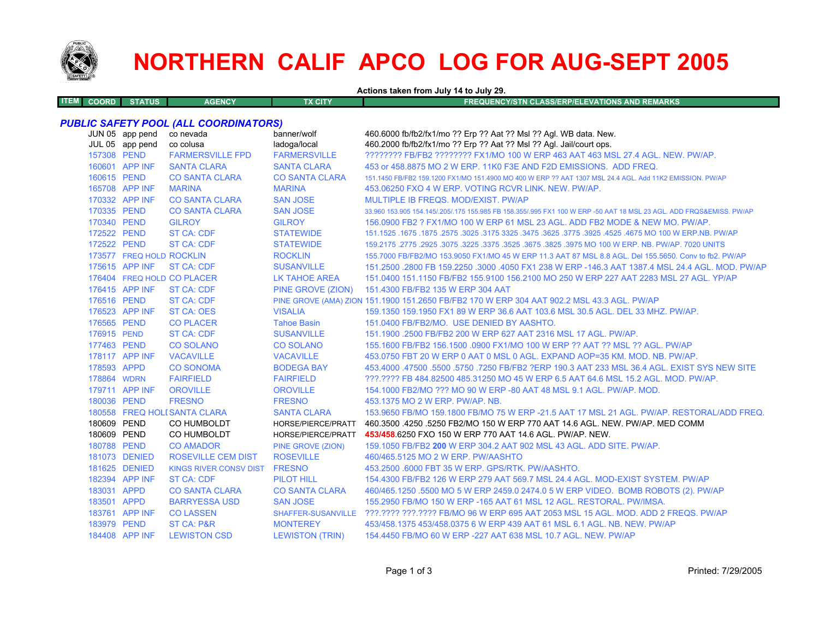

## **NORTHERN CALIF APCO LOG FOR AUG-SEPT 2005**

**Actions taken from July 14 to July 29.**

| 1 E.VI . | <b>COORD</b> | <b>STATUS</b> | <b>AGENCY</b> | <b>FX CITY</b> | FREQUENCY/STN CLASS/ERP/ELEVATIONS AND REMARKS ' |
|----------|--------------|---------------|---------------|----------------|--------------------------------------------------|
|          |              |               |               |                |                                                  |

## *PUBLIC SAFETY POOL (ALL COORDINATORS)*

|             | JUN 05 app pend<br>JUL 05 app pend | co nevada<br>co colusa        | banner/wolf<br>ladoga/local | 460.6000 fb/fb2/fx1/mo ?? Erp ?? Aat ?? Msl ?? Agl. WB data. New.<br>460.2000 fb/fb2/fx1/mo ?? Erp ?? Aat ?? Msl ?? Agl. Jail/court ops. |
|-------------|------------------------------------|-------------------------------|-----------------------------|------------------------------------------------------------------------------------------------------------------------------------------|
| 157308 PEND |                                    | <b>FARMERSVILLE FPD</b>       | <b>FARMERSVILLE</b>         | ???????? FB/FB2 ???????? FX1/MO 100 W ERP 463 AAT 463 MSL 27.4 AGL, NEW, PW/AP,                                                          |
|             | 160601 APP INF                     | <b>SANTA CLARA</b>            | <b>SANTA CLARA</b>          | 453 or 458,8875 MO 2 W ERP, 11K0 F3E AND F2D EMISSIONS. ADD FREQ.                                                                        |
| 160615 PEND |                                    | <b>CO SANTA CLARA</b>         | <b>CO SANTA CLARA</b>       | 151.1450 FB/FB2 159.1200 FX1/MO 151.4900 MO 400 W ERP ?? AAT 1307 MSL 24.4 AGL. Add 11K2 EMISSION, PW/AP                                 |
|             | 165708 APP INF                     | <b>MARINA</b>                 | <b>MARINA</b>               | 453.06250 FXO 4 W ERP. VOTING RCVR LINK, NEW, PW/AP.                                                                                     |
|             | 170332 APP INF                     | <b>CO SANTA CLARA</b>         | <b>SAN JOSE</b>             | MULTIPLE IB FREQS, MOD/EXIST, PW/AP                                                                                                      |
| 170335 PEND |                                    | <b>CO SANTA CLARA</b>         | <b>SAN JOSE</b>             | 33,960 153,905 154,145/.205/.175 155,985 FB 158,355/.995 FX1 100 W ERP -50 AAT 18 MSL 23 AGL, ADD FRQS&EMISS, PW/AP                      |
| 170340 PEND |                                    | <b>GILROY</b>                 | <b>GILROY</b>               | 156,0900 FB2 ? FX1/MO 100 W ERP 61 MSL 23 AGL. ADD FB2 MODE & NEW MO, PW/AP.                                                             |
| 172522 PEND |                                    | <b>ST CA: CDF</b>             | <b>STATEWIDE</b>            | 151.1525 .1675 .1675 .3025 .3625 .3775 .3925 .3775 .3925 .3775 .3925 .4525 .4675 .00 .1677 .1625 .1679 .1679 .                           |
| 172522 PEND |                                    | <b>ST CA: CDF</b>             | <b>STATEWIDE</b>            | 159,2175,2775,2925,3075,3225,3375,3525,3675,3825,3975 MO 100 W ERP, NB, PW/AP, 7020 UNITS                                                |
|             | 173577 FREQ HOLD ROCKLIN           |                               | <b>ROCKLIN</b>              | 155,7000 FB/FB2/MO 153,9050 FX1/MO 45 W ERP 11.3 AAT 87 MSL 8.8 AGL, Del 155,5650, Conv to fb2, PW/AP                                    |
|             | 175615 APP INF                     | ST CA: CDF                    | <b>SUSANVILLE</b>           | 151.2500 .2800 FB 159.2250 .3000 .4050 FX1 238 W ERP -146.3 AAT 1387.4 MSL 24.4 AGL, MOD, PW/AP                                          |
|             |                                    | 176404 FREQ HOLD CO PLACER    | <b>LK TAHOE AREA</b>        | 151,0400 151,1150 FB/FB2 155,9100 156,2100 MO 250 W ERP 227 AAT 2283 MSL 27 AGL, YP/AP                                                   |
|             | 176415 APP INF                     | ST CA: CDF                    |                             | PINE GROVE (ZION) 151.4300 FB/FB2 135 W ERP 304 AAT                                                                                      |
| 176516 PEND |                                    | <b>ST CA: CDF</b>             |                             | PINE GROVE (AMA) ZION 151.1900 151.2650 FB/FB2 170 W ERP 304 AAT 902.2 MSL 43.3 AGL. PW/AP                                               |
|             | 176523 APP INF                     | <b>ST CA: OES</b>             | <b>VISALIA</b>              | 159.1350 159.1950 FX1 89 W ERP 36.6 AAT 103.6 MSL 30.5 AGL. DEL 33 MHZ. PW/AP.                                                           |
| 176565 PEND |                                    | <b>CO PLACER</b>              | <b>Tahoe Basin</b>          | 151.0400 FB/FB2/MO. USE DENIED BY AASHTO.                                                                                                |
| 176915 PEND |                                    | <b>ST CA: CDF</b>             | <b>SUSANVILLE</b>           | 151.1900 .2500 FB/FB2 200 W ERP 627 AAT 2316 MSL 17 AGL. PW/AP.                                                                          |
| 177463 PEND |                                    | <b>CO SOLANO</b>              | <b>CO SOLANO</b>            | 155.1600 FB/FB2 156.1500 .0900 FX1/MO 100 W ERP ?? AAT ?? MSL ?? AGL. PW/AP                                                              |
|             | 178117 APP INF                     | <b>VACAVILLE</b>              | <b>VACAVILLE</b>            | 453.0750 FBT 20 W ERP 0 AAT 0 MSL 0 AGL. EXPAND AOP=35 KM. MOD. NB. PW/AP.                                                               |
| 178593 APPD |                                    | <b>CO SONOMA</b>              | <b>BODEGA BAY</b>           | 453.4000 .47500 .5500 .5750 .7250 FB/FB2 ?ERP 190.3 AAT 233 MSL 36.4 AGL. EXIST SYS NEW SITE                                             |
| 178864 WDRN |                                    | <b>FAIRFIELD</b>              | <b>FAIRFIELD</b>            | ???.???? FB 484.82500 485.31250 MO 45 W ERP 6.5 AAT 64.6 MSL 15.2 AGL. MOD. PW/AP.                                                       |
|             | 179711 APP INF                     | <b>OROVILLE</b>               | <b>OROVILLE</b>             | 154,1000 FB2/MO ??? MO 90 W ERP -80 AAT 48 MSL 9.1 AGL, PW/AP, MOD.                                                                      |
| 180036 PEND |                                    | <b>FRESNO</b>                 | <b>FRESNO</b>               | 453.1375 MO 2 W ERP. PW/AP. NB.                                                                                                          |
|             |                                    | 180558 FREQ HOLI SANTA CLARA  | <b>SANTA CLARA</b>          | 153,9650 FB/MO 159,1800 FB/MO 75 W ERP -21.5 AAT 17 MSL 21 AGL, PW/AP, RESTORAL/ADD FREQ.                                                |
| 180609 PEND |                                    | CO HUMBOLDT                   | HORSE/PIERCE/PRATT          | 460.3500 .4250 .5250 FB2/MO 150 W ERP 770 AAT 14.6 AGL, NEW, PW/AP, MED COMM                                                             |
| 180609 PEND |                                    | CO HUMBOLDT                   | HORSE/PIERCE/PRATT          | 453/458.6250 FXO 150 W ERP 770 AAT 14.6 AGL, PW/AP, NEW.                                                                                 |
| 180788 PEND |                                    | <b>CO AMADOR</b>              | PINE GROVE (ZION)           | 159.1050 FB/FB2 200 W ERP 304.2 AAT 902 MSL 43 AGL, ADD SITE, PW/AP.                                                                     |
|             | 181073 DENIED                      | <b>ROSEVILLE CEM DIST</b>     | <b>ROSEVILLE</b>            | 460/465.5125 MO 2 W ERP. PW/AASHTO                                                                                                       |
|             | 181625 DENIED                      | KINGS RIVER CONSV DIST FRESNO |                             | 453.2500 .6000 FBT 35 W ERP. GPS/RTK. PW/AASHTO.                                                                                         |
|             | 182394 APP INF                     | <b>ST CA: CDF</b>             | <b>PILOT HILL</b>           | 154,4300 FB/FB2 126 W ERP 279 AAT 569.7 MSL 24.4 AGL, MOD-EXIST SYSTEM, PW/AP                                                            |
| 183031 APPD |                                    | <b>CO SANTA CLARA</b>         | <b>CO SANTA CLARA</b>       | 460/465.1250 .5500 MO 5 W ERP 2459.0 2474.0 5 W ERP VIDEO. BOMB ROBOTS (2). PW/AP                                                        |
| 183501 APPD |                                    | <b>BARRYESSA USD</b>          | <b>SAN JOSE</b>             | 155,2950 FB/MO 150 W ERP -165 AAT 61 MSL 12 AGL, RESTORAL, PW/IMSA.                                                                      |
|             | 183761 APP INF                     | <b>CO LASSEN</b>              |                             | SHAFFER-SUSANVILLE ???.???? ???.???? FB/MO 96 W ERP 695 AAT 2053 MSL 15 AGL, MOD, ADD 2 FREQS, PW/AP                                     |
| 183979 PEND |                                    | <b>ST CA: P&amp;R</b>         | <b>MONTEREY</b>             | 453/458.1375 453/458.0375 6 W ERP 439 AAT 61 MSL 6.1 AGL, NB, NEW, PW/AP                                                                 |
|             | 184408 APP INF                     | <b>LEWISTON CSD</b>           | <b>LEWISTON (TRIN)</b>      | 154,4450 FB/MO 60 W ERP -227 AAT 638 MSL 10.7 AGL, NEW, PW/AP                                                                            |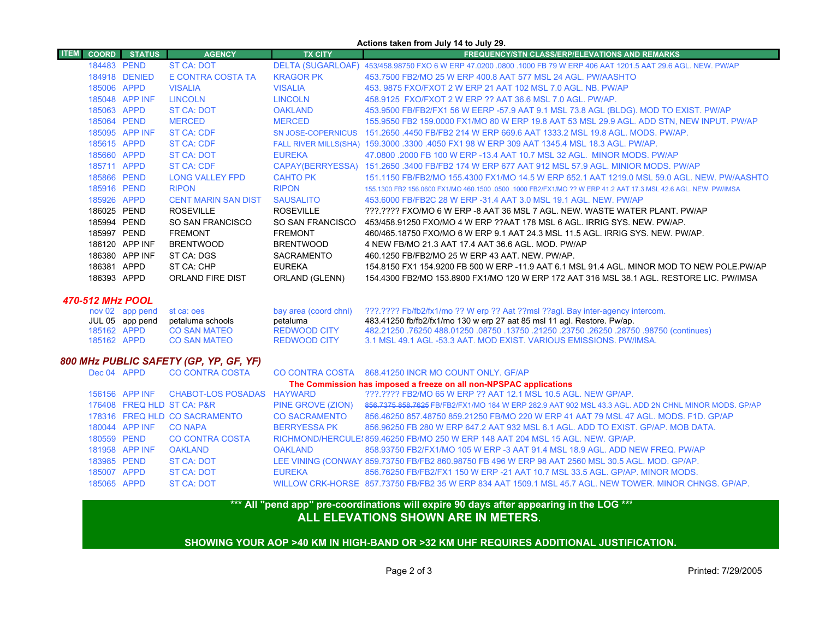| Actions taken from July 14 to July 29. |                 |               |                               |                           |                                                                                                                     |  |  |
|----------------------------------------|-----------------|---------------|-------------------------------|---------------------------|---------------------------------------------------------------------------------------------------------------------|--|--|
| <b>ITEM</b>                            | <b>COORD</b>    | <b>STATUS</b> | <b>AGENCY</b>                 | <b>TX CITY</b>            | <b>FREQUENCY/STN CLASS/ERP/ELEVATIONS AND REMARKS</b>                                                               |  |  |
|                                        | 184483 PEND     |               | <b>ST CA: DOT</b>             |                           | DELTA (SUGARLOAF) 453/458.98750 FXO 6 W ERP 47.0200 .0800 .1000 FB 79 W ERP 406 AAT 1201.5 AAT 29.6 AGL. NEW. PW/AP |  |  |
|                                        | 184918 DENIED   |               | E CONTRA COSTA TA             | <b>KRAGOR PK</b>          | 453.7500 FB2/MO 25 W ERP 400.8 AAT 577 MSL 24 AGL, PW/AASHTO                                                        |  |  |
|                                        | 185006 APPD     |               | <b>VISALIA</b>                | <b>VISALIA</b>            | 453, 9875 FXO/FXOT 2 W ERP 21 AAT 102 MSL 7.0 AGL, NB, PW/AP                                                        |  |  |
|                                        | 185048 APP INF  |               | <b>LINCOLN</b>                | <b>LINCOLN</b>            | 458.9125 FXO/FXOT 2 W ERP ?? AAT 36.6 MSL 7.0 AGL. PW/AP.                                                           |  |  |
|                                        | 185063 APPD     |               | <b>ST CA: DOT</b>             | <b>OAKLAND</b>            | 453.9500 FB/FB2/FX1 56 W EERP -57.9 AAT 9.1 MSL 73.8 AGL (BLDG). MOD TO EXIST. PW/AP                                |  |  |
|                                        | 185064 PEND     |               | <b>MERCED</b>                 | <b>MERCED</b>             | 155.9550 FB2 159.0000 FX1/MO 80 W ERP 19.8 AAT 53 MSL 29.9 AGL. ADD STN, NEW INPUT. PW/AP                           |  |  |
|                                        | 185095 APP INF  |               | ST CA: CDF                    | <b>SN JOSE-COPERNICUS</b> | 151.2650 .4450 FB/FB2 214 W ERP 669.6 AAT 1333.2 MSL 19.8 AGL, MODS, PW/AP,                                         |  |  |
|                                        | 185615 APPD     |               | <b>ST CA: CDF</b>             |                           | FALL RIVER MILLS(SHA) 159.3000 .3300 .4050 FX1 98 W ERP 309 AAT 1345.4 MSL 18.3 AGL. PW/AP.                         |  |  |
|                                        | 185660 APPD     |               | ST CA: DOT                    | <b>EUREKA</b>             | 47.0800 .2000 FB 100 W ERP -13.4 AAT 10.7 MSL 32 AGL. MINOR MODS. PW/AP                                             |  |  |
|                                        | 185711 APPD     |               | ST CA: CDF                    |                           | CAPAY(BERRYESSA) 151.2650 .3400 FB/FB2 174 W ERP 677 AAT 912 MSL 57.9 AGL. MINIOR MODS. PW/AP                       |  |  |
|                                        | 185866 PEND     |               | <b>LONG VALLEY FPD</b>        | <b>CAHTO PK</b>           | 151.1150 FB/FB2/MO 155.4300 FX1/MO 14.5 W ERP 652.1 AAT 1219.0 MSL 59.0 AGL. NEW. PW/AASHTO                         |  |  |
|                                        | 185916 PEND     |               | <b>RIPON</b>                  | <b>RIPON</b>              | 155.1300 FB2 156.0600 FX1/MO 460.1500 .0500 .1000 FB2/FX1/MO ?? W ERP 41.2 AAT 17.3 MSL 42.6 AGL. NEW. PW/IMSA      |  |  |
|                                        | 185926 APPD     |               | <b>CENT MARIN SAN DIST</b>    | <b>SAUSALITO</b>          | 453,6000 FB/FB2C 28 W ERP -31.4 AAT 3.0 MSL 19.1 AGL, NEW, PW/AP                                                    |  |  |
|                                        | 186025 PEND     |               | <b>ROSEVILLE</b>              | <b>ROSEVILLE</b>          | ???.???? FXO/MO 6 W ERP -8 AAT 36 MSL 7 AGL. NEW. WASTE WATER PLANT. PW/AP                                          |  |  |
|                                        | 185994 PEND     |               | SO SAN FRANCISCO              | SO SAN FRANCISCO          | 453/458.91250 FXO/MO 4 W ERP ?? AAT 178 MSL 6 AGL. IRRIG SYS. NEW. PW/AP.                                           |  |  |
|                                        | 185997 PEND     |               | <b>FREMONT</b>                | <b>FREMONT</b>            | 460/465.18750 FXO/MO 6 W ERP 9.1 AAT 24.3 MSL 11.5 AGL. IRRIG SYS. NEW. PW/AP.                                      |  |  |
|                                        | 186120 APP INF  |               | <b>BRENTWOOD</b>              | <b>BRENTWOOD</b>          | 4 NEW FB/MO 21.3 AAT 17.4 AAT 36.6 AGL. MOD. PW/AP                                                                  |  |  |
|                                        | 186380 APP INF  |               | ST CA: DGS                    | <b>SACRAMENTO</b>         | 460.1250 FB/FB2/MO 25 W ERP 43 AAT, NEW, PW/AP,                                                                     |  |  |
|                                        | 186381 APPD     |               | ST CA: CHP                    | <b>EUREKA</b>             | 154.8150 FX1 154.9200 FB 500 W ERP -11.9 AAT 6.1 MSL 91.4 AGL. MINOR MOD TO NEW POLE PW/AP                          |  |  |
|                                        | 186393 APPD     |               | <b>ORLAND FIRE DIST</b>       | ORLAND (GLENN)            | 154.4300 FB2/MO 153.8900 FX1/MO 120 W ERP 172 AAT 316 MSL 38.1 AGL, RESTORE LIC, PW/IMSA                            |  |  |
| 470-512 MHz POOL                       |                 |               |                               |                           |                                                                                                                     |  |  |
|                                        | nov 02 app pend |               | st ca: oes                    | bay area (coord chnl)     | ???.???? Fb/fb2/fx1/mo ?? W erp ?? Aat ??msl ??agl. Bay inter-agency intercom.                                      |  |  |
|                                        | JUL 05 app pend |               | petaluma schools              | petaluma                  | 483.41250 fb/fb2/fx1/mo 130 w erp 27 aat 85 msl 11 agl. Restore. Pw/ap.                                             |  |  |
|                                        | 185162 APPD     |               | <b>CO SAN MATEO</b>           | <b>REDWOOD CITY</b>       | (continues) 08750, 08750, 08750, 08750, 08750, 08750, 08750, 08750, 08750, 08750 (continues)                        |  |  |
|                                        | 185162 APPD     |               | <b>CO SAN MATEO</b>           | <b>REDWOOD CITY</b>       | 3.1 MSL 49.1 AGL -53.3 AAT. MOD EXIST. VARIOUS EMISSIONS. PW/IMSA.                                                  |  |  |
| 800 MHz PUBLIC SAFETY (GP, YP, GF, YF) |                 |               |                               |                           |                                                                                                                     |  |  |
|                                        | Dec 04 APPD     |               | <b>CO CONTRA COSTA</b>        |                           | CO CONTRA COSTA 868.41250 INCR MO COUNT ONLY. GF/AP                                                                 |  |  |
|                                        |                 |               |                               |                           | The Commission has imposed a freeze on all non-NPSPAC applications                                                  |  |  |
|                                        | 156156 APP INF  |               | CHABOT-LOS POSADAS HAYWARD    |                           | ???.???? FB2/MO 65 W ERP ?? AAT 12.1 MSL 10.5 AGL. NEW GP/AP.                                                       |  |  |
|                                        |                 |               | 176408 FREQ HLD ST CA: P&R    | PINE GROVE (ZION)         | 856,7375 858,7625 FB/FB2/FX1/MO 184 W ERP 282.9 AAT 902 MSL 43.3 AGL, ADD 2N CHNL MINOR MODS, GP/AP                 |  |  |
|                                        |                 |               | 178316 FREQ HLD CO SACRAMENTO | <b>CO SACRAMENTO</b>      | 856.46250 857.48750 859.21250 FB/MO 220 W ERP 41 AAT 79 MSL 47 AGL, MODS, F1D, GP/AP                                |  |  |
|                                        | 180044 APP INF  |               | <b>CO NAPA</b>                | <b>BERRYESSA PK</b>       | 856.96250 FB 280 W ERP 647.2 AAT 932 MSL 6.1 AGL. ADD TO EXIST. GP/AP. MOB DATA.                                    |  |  |
|                                        | 180559 PEND     |               | <b>CO CONTRA COSTA</b>        |                           | RICHMOND/HERCULE: 859.46250 FB/MO 250 W ERP 148 AAT 204 MSL 15 AGL, NEW, GP/AP,                                     |  |  |
|                                        | 181958 APP INF  |               | <b>OAKLAND</b>                | <b>OAKLAND</b>            | 858.93750 FB2/FX1/MO 105 W ERP -3 AAT 91.4 MSL 18.9 AGL, ADD NEW FREQ, PW/AP                                        |  |  |
|                                        | 183985 PEND     |               | <b>ST CA: DOT</b>             |                           | LEE VINING (CONWAY 859.73750 FB/FB2 860.98750 FB 496 W ERP 98 AAT 2560 MSL 30.5 AGL. MOD. GP/AP.                    |  |  |
|                                        | 185007 APPD     |               | <b>ST CA: DOT</b>             | <b>EUREKA</b>             | 856.76250 FB/FB2/FX1 150 W ERP -21 AAT 10.7 MSL 33.5 AGL, GP/AP, MINOR MODS.                                        |  |  |

## **ALL ELEVATIONS SHOWN ARE IN METERS. \*\*\* All "pend app" pre-coordinations will expire 90 days after appearing in the LOG \*\*\***

APPD ST CA: DOT WILLOW CRK-HORSE 857.73750 FB/FB2 35 W ERP 834 AAT 1509.1 MSL 45.7 AGL. NEW TOWER. MINOR CHNGS. GP/AP.

**SHOWING YOUR AOP >40 KM IN HIGH-BAND OR >32 KM UHF REQUIRES ADDITIONAL JUSTIFICATION.**